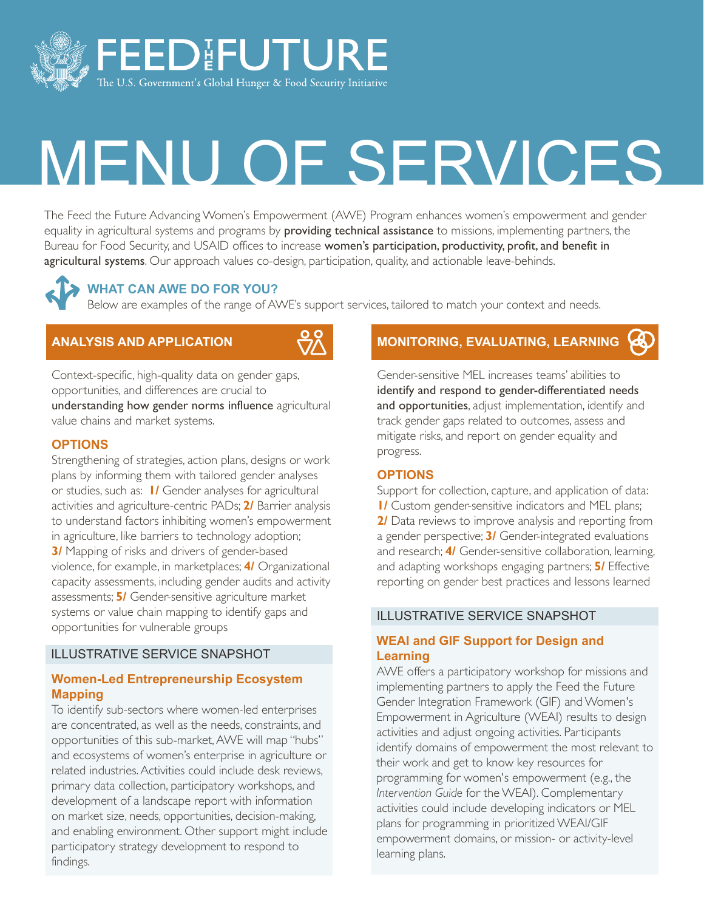

# MENU OF SERVICES

The Feed the Future Advancing Women's Empowerment (AWE) Program enhances women's empowerment and gender equality in agricultural systems and programs by **providing technical assistance** to missions, implementing partners, the Bureau for Food Security, and USAID offices to increase women's participation, productivity, profit, and benefit in agricultural systems. Our approach values co-design, participation, quality, and actionable leave-behinds.



# **WHAT CAN AWE DO FOR YOU?**

Below are examples of the range of AWE's support services, tailored to match your context and needs.

# **ANALYSIS AND APPLICATION**



Context-specific, high-quality data on gender gaps, opportunities, and differences are crucial to understanding how gender norms influence agricultural value chains and market systems.

#### **OPTIONS**

Strengthening of strategies, action plans, designs or work plans by informing them with tailored gender analyses or studies, such as: **1/** Gender analyses for agricultural activities and agriculture-centric PADs; **2/** Barrier analysis to understand factors inhibiting women's empowerment in agriculture, like barriers to technology adoption; **3/** Mapping of risks and drivers of gender-based violence, for example, in marketplaces; **4/** Organizational capacity assessments, including gender audits and activity assessments; **5/** Gender-sensitive agriculture market systems or value chain mapping to identify gaps and opportunities for vulnerable groups

# ILLUSTRATIVE SERVICE SNAPSHOT

# **Women-Led Entrepreneurship Ecosystem Mapping**

To identify sub-sectors where women-led enterprises are concentrated, as well as the needs, constraints, and opportunities of this sub-market, AWE will map "hubs" and ecosystems of women's enterprise in agriculture or related industries. Activities could include desk reviews, primary data collection, participatory workshops, and development of a landscape report with information on market size, needs, opportunities, decision-making, and enabling environment. Other support might include participatory strategy development to respond to findings.

# **MONITORING, EVALUATING, LEARNING**

Gender-sensitive MEL increases teams' abilities to identify and respond to gender-differentiated needs and opportunities, adjust implementation, identify and track gender gaps related to outcomes, assess and mitigate risks, and report on gender equality and progress.

#### **OPTIONS**

Support for collection, capture, and application of data: **1/ Custom gender-sensitive indicators and MEL plans; 2/** Data reviews to improve analysis and reporting from a gender perspective; **3/** Gender-integrated evaluations and research; **4/** Gender-sensitive collaboration, learning, and adapting workshops engaging partners; **5/** Effective reporting on gender best practices and lessons learned

## ILLUSTRATIVE SERVICE SNAPSHOT

# **WEAI and GIF Support for Design and Learning**

AWE offers a participatory workshop for missions and implementing partners to apply the Feed the Future Gender Integration Framework (GIF) and Women's Empowerment in Agriculture (WEAI) results to design activities and adjust ongoing activities. Participants identify domains of empowerment the most relevant to their work and get to know key resources for programming for women's empowerment (e.g., the *Intervention Guide* for the WEAI). Complementary activities could include developing indicators or MEL plans for programming in prioritized WEAI/GIF empowerment domains, or mission- or activity-level learning plans.